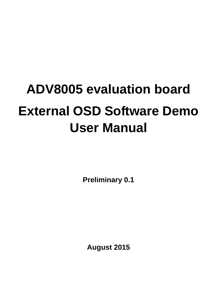# <span id="page-0-0"></span>**ADV8005 evaluation board External OSD Software Demo User Manual**

**Preliminary 0.1**

**August 2015**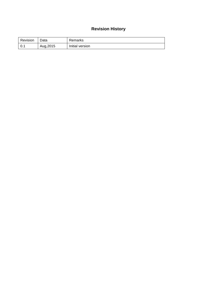## **Revision History**

| Revision | Data      | Remarks         |
|----------|-----------|-----------------|
|          | Aug, 2015 | Initial version |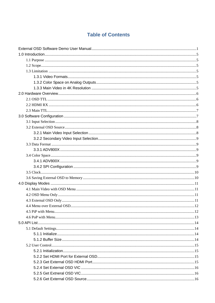# **Table of Contents**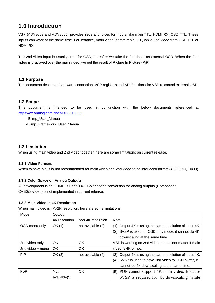# <span id="page-4-0"></span>**1.0 Introduction**

VSP (ADV8003 and ADV8005) provides several choices for inputs, like main TTL, HDMI RX, OSD TTL. These inputs can work at the same time. For instance, main video is from main TTL, while 2nd video from OSD TTL or HDMI RX.

The 2nd video input is usually used for OSD, hereafter we take the 2nd input as external OSD. When the 2nd video is displayed over the main video, we get the result of Picture In Picture (PiP).

## <span id="page-4-1"></span>**1.1 Purpose**

This document describes hardware connection, VSP registers and API functions for VSP to control external OSD.

## <span id="page-4-2"></span>**1.2 Scope**

This document is intended to be used in conjunction with the below documents referenced at <https://ez.analog.com/docs/DOC-10635>

- Blimp\_User\_Manual

-Blimp Framework User Manual

## <span id="page-4-3"></span>**1.3 Limitation**

When using main video and 2nd video together, here are some limitations on current release.

## <span id="page-4-4"></span>**1.3.1 Video Formats**

When to have pip, it is not recommended for main video and 2nd video to be interlaced format (480i, 576i, 1080i)

## <span id="page-4-5"></span>**1.3.2 Color Space on Analog Outputs**

All development is on HDMI TX1 and TX2. Color space conversion for analog outputs (Component, CVBS/S-video) is not implemented in current release.

## <span id="page-4-6"></span>**1.3.3 Main Video in 4K Resolution**

When main video is 4Kx2K resolution, here are some limitations:

| Mode               | Output        |                   |                                                         |
|--------------------|---------------|-------------------|---------------------------------------------------------|
|                    | 4K resolution | non-4K resolution | <b>Note</b>                                             |
| OSD menu only      | OK(1)         | not available (2) | (1) Output 4K is using the same resolution of input 4K. |
|                    |               |                   | (2) SVSP is used for OSD only mode, it cannot do 4K     |
|                    |               |                   | downscaling at the same time.                           |
| 2nd video only     | OK            | OK                | VSP is working on 2nd video, it does not matter if main |
| 2nd video $+$ menu | OK            | OK                | video is 4K or not.                                     |
| <b>PiP</b>         | OK(3)         | not available (4) | (3) Output 4K is using the same resolution of input 4K. |
|                    |               |                   | (4) SVSP is used to save 2nd video to OSD buffer, it    |
|                    |               |                   | cannot do 4K downscaling at the same time.              |
| PoP                | <b>Not</b>    | OK.               | (5) POP cannot support 4K main video. Because           |
|                    | available(5)  |                   | SVSP is required for 4K downscaling, while              |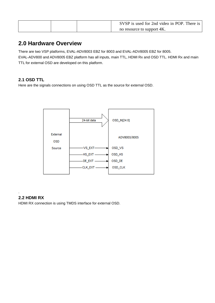| SVSP is used for 2nd video in POP. There is |
|---------------------------------------------|
| no resource to support 4K.                  |

## <span id="page-5-0"></span>**2.0 Hardware Overview**

There are two VSP platforms, EVAL-ADV8003 EBZ for 8003 and EVAL-ADV8005 EBZ for 8005.

EVAL-ADV800 and ADV8005 EBZ platform has all inputs, main TTL, HDMI Rx and OSD TTL. HDMI Rx and main TTL for external OSD are developed on this platform.

## <span id="page-5-1"></span>**2.1 OSD TTL**

Here are the signals connections on using OSD TTL as the source for external OSD.



## <span id="page-5-2"></span>**2.2 HDMI RX**

.

HDMI RX connection is using TMDS interface for external OSD.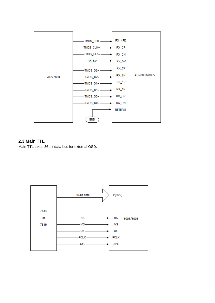

## <span id="page-6-0"></span>**2.3 Main TTL**

Main TTL takes 36-bit data bus for external OSD.

<span id="page-6-1"></span>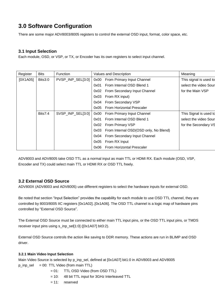# **3.0 Software Configuration**

There are some major ADV8003/8005 registers to control the external OSD input, format, color space, etc.

## <span id="page-7-0"></span>**3.1 Input Selection**

Each module, OSD, or VSP, or TX, or Encoder has its own registers to select input channel.

| Register | <b>Bits</b> | <b>Function</b>   |      | Values and Description                | Meaning                |
|----------|-------------|-------------------|------|---------------------------------------|------------------------|
| [0X1A05] | Bits3:0     | PVSP_INP_SEL[3:0] | 0x00 | From Primary Input Channel            | This signal is used to |
|          |             |                   | 0x01 | From Internal OSD Blend 1             | select the video Sour  |
|          |             |                   | 0x02 | From Secondary Input Channel          | for the Main VSP       |
|          |             |                   | 0x03 | From RX input)                        |                        |
|          |             |                   | 0x04 | From Secondary VSP                    |                        |
|          |             |                   | 0x05 | From Horizontal Prescaler             |                        |
|          | Bits7:4     | SVSP_INP_SEL[3:0] | 0x00 | From Primary Input Channel            | This Signal is used to |
|          |             |                   | 0x01 | From Internal OSD Blend 1             | select the video Sour  |
|          |             |                   | 0x02 | <b>From Primary VSP</b>               | for the Secondary VS   |
|          |             |                   | 0x03 | From Internal OSD(OSD only, No Blend) |                        |
|          |             |                   | 0x04 | From Secondary Input Channel          |                        |
|          |             |                   | 0x05 | From RX Input                         |                        |
|          |             |                   | 0x06 | <b>From Horizontal Prescaler</b>      |                        |

ADV8003 and ADV8005 take OSD TTL as a normal input as main TTL or HDMI RX. Each module (OSD, VSP, Encoder and TX) could select main TTL or HDMI RX or OSD TTL freely.

## <span id="page-7-1"></span>**3.2 External OSD Source**

ADV800X (ADV8003 and ADV8005) use different registers to select the hardware inputs for external OSD.

Be noted that section "Input Selection" provides the capability for each module to use OSD TTL channel, they are controlled by 8003/8005 IIC registers [0x1A02]..[0x1A06]. The OSD TTL channel is a logic map of hardware pins controlled by "External OSD Source".

The External OSD Source must be connected to either main TTL input pins, or the OSD TTL input pins, or TMDS receiver input pins using s\_inp\_sel[1:0] ([0x1A07] bit3:2).

External OSD Source controls the action like saving to DDR memory. These actions are run in BLIMP and OSD driver.

## <span id="page-7-2"></span>**3.2.1 Main Video Input Selection**

Main Video Source is selected by p\_inp\_sel, defined at [0x1A07] bit1:0 in ADV8003 and ADV8005  $p_{inp}$  sel = 00: TTL Video (from main TTL)

- = 01: TTL OSD Video (from OSD TTL)
- = 10: 48 bit TTL input for 3GHz Interleaved TTL
- $= 11$ : reserved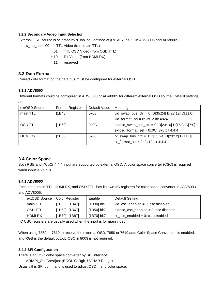## <span id="page-8-0"></span>**3.2.2 Secondary Video Input Selection**

External OSD source is selected by s\_inp\_sel, defined at [0x1A07] bit3:2 in ADV8003 and ADV8005

s inp  $sel = 00$ : TTL Video (from main TTL)

- = 01: TTL OSD Video (from OSD TTL)
- $= 10$ : Rx Video (from HDMI RX)
- $= 11$ : reserved

## <span id="page-8-1"></span>**3.3 Data Format**

Correct data format on the data bus must be configured for external OSD

## <span id="page-8-2"></span>**3.3.1 ADV800X**

Different formats could be configured in ADV8003 or ADV8005 for different external OSD source. Default settings are:

| extOSD Source  | <b>Format Register</b> | Default Value | Meaning                                             |
|----------------|------------------------|---------------|-----------------------------------------------------|
| main TTL       | [1B48]                 | 0x08          | vid_swap_bus_ctrl = 0: $D[35:24] D[23:12] D[11:0]$  |
|                |                        |               | vid_format_sel = $8: 3x12$ bit 4:4:4                |
| <b>OSD TTL</b> | [1B68]                 | 0x0C          | extosd_swap_bus_ctrl = 0: $D[23:16] D[15:8] D[7:0]$ |
|                |                        |               | extosd_format_sel = $0x0C$ : 3x8 bit 4:4:4          |
| <b>HDMI RX</b> | [1B88]                 | 0x08          | rx_swap_bus_ctrl = 0: $D[35:24] D[23:12] D[11:0]$   |
|                |                        |               | rx format sel = $8: 3x12$ bit 4:4:4                 |

## <span id="page-8-3"></span>**3.4 Color Space**

Both RGB and YCbCr 4:4:4 input are supported by external OSD. A color space converter (CSC) is required when input is YCbCr.

## <span id="page-8-4"></span>**3.4.1 ADV800X**

Each input, main TTL, HDMI RX, and OSD TTL, has its own IIC registers for color space converter in ADV8003 and ADV8005.

| extOSD Source   Color Register |                     | Enable      | Default Setting                           |
|--------------------------------|---------------------|-------------|-------------------------------------------|
| main TTL                       | $[1B30]$ . $[1B47]$ | [1B30] bit7 | vid_csc_enabled = $0$ : csc disabled      |
| <b>OSD TTL</b>                 | $[1B50]$ . $[1B67]$ | [1B50] bit7 | $extosd_csc_{enabled} = 0$ : csc disabled |
| HDMI RX                        | $[1B70]$ . [1B87]   | [1B70] bit7 | $rx\_csc\_enabeled = 0$ : csc disabled    |

IIC CSC registers are usually used when the input is for main video.

When using 7850 or 7619 to receive the external OSD, 7850 or 7619 auto Color Space Conversion is enabled, and RGB is the default output. CSC in 8003 is not required.

## <span id="page-8-5"></span>**3.4.2 SPI Configuration**

There is an OSD color space converter by SPI interface:

ADIAPI\_OsdCsAdjust (BOOL CsRgb, UCHAR Range)

Usually this SPI command is used to adjust OSD menu color space.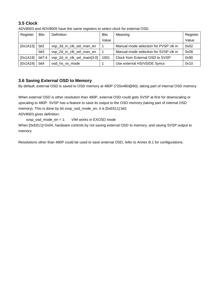## <span id="page-9-0"></span>**3.5 Clock**

ADV8003 and ADV8005 have the same registers to select clock for external OSD.

| Register | <b>Bits</b> | Definition                  | <b>Bits</b> | Meaning                               | Register |
|----------|-------------|-----------------------------|-------------|---------------------------------------|----------|
|          |             |                             | Value       |                                       | Value    |
| [0x1A15] | bit2        | vsp_3d_in_clk_sel_man_en    |             | Manual mode selection for PVSP clk in | 0x02     |
|          | bit3        | vsp_2d_in_clk_sel_man_en    |             | Manual mode selection for SVSP clk in | 0x08     |
| [0x1A19] | bit7:4      | vsp_2d_in_clk_sel_main[3:0] | 1001        | Clock from External OSD to SVSP       | 0x90     |
| [0x1A24] | bit4        | osd_hs_vs_mode              |             | Use external HS/VS/DE Syncs           | 0x10     |

## <span id="page-9-1"></span>**3.6 Saving External OSD to Memory**

By default, external OSD is saved to OSD memory at 480P (720x480@60), taking part of internal OSD memory.

When external OSD is other resolution than 480P, external OSD could goto SVSP at first for downscaling or upscaling to 480P. SVSP has a feature to save its output to the OSD memory (taking part of internal OSD memory). This is done by bit svsp\_osd\_mode\_en, it is [0xE611] bit2.

ADV8003 gives definition:

svsp\_osd\_mode\_en = 1: VIM works in EXOSD mode

When  $[0xE611]=0x04$ , hardware controls by not saving external OSD to memory, and saving SVSP output to memory.

Resolutions other than 480P could be used to save external OSD, refer to Annex B.1 for configurations.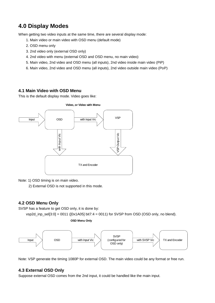# <span id="page-10-0"></span>**4.0 Display Modes**

When getting two video inputs at the same time, there are several display mode:

- 1. Main video or main video with OSD menu (default mode)
- 2. OSD menu only
- 3. 2nd video only (external OSD only)
- 4. 2nd video with menu (external OSD and OSD menu, no main video)
- 5. Main video, 2nd video and OSD menu (all inputs), 2nd video inside main video (PiP)
- 6. Main video, 2nd video and OSD menu (all inputs), 2nd video outside main video (PoP)

## <span id="page-10-1"></span>**4.1 Main Video with OSD Menu**

This is the default display mode. Video goes like:



Note: 1) OSD timing is on main video.

2) External OSD is not supported in this mode.

## <span id="page-10-2"></span>**4.2 OSD Menu Only**

SVSP has a feature to get OSD only, it is done by:

vsp2d\_inp\_sel[3:0] = 0011 ([0x1A05] bit7:4 = 0011) for SVSP from OSD (OSD only, no blend).





Note: VSP generate the timing 1080P for external OSD. The main video could be any format or free run.

## <span id="page-10-3"></span>**4.3 External OSD Only**

Suppose external OSD comes from the 2nd input, it could be handled like the main input.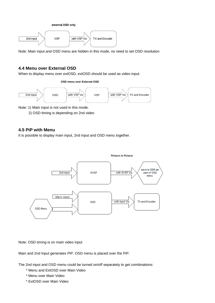



Note: Main input and OSD menu are hidden in this mode, no need to set OSD resolution

## <span id="page-11-0"></span>**4.4 Menu over External OSD**

When to display menu over extOSD, extOSD should be used as video input.

#### **OSD menu over External OSD**



Note: 1) Main input is not used in this mode.

2) OSD timing is depending on 2nd video

## <span id="page-11-1"></span>**4.5 PiP with Menu**

It is possible to display main input, 2nd input and OSD menu together.



Note: OSD timing is on main video input

Main and 2nd Input generates PiP. OSD menu is placed over the PiP.

The 2nd input and OSD menu could be turned on/off separately to get combinations:

- \* Menu and ExtOSD over Main Video
- \* Menu over Main Video
- \* ExtOSD over Main Video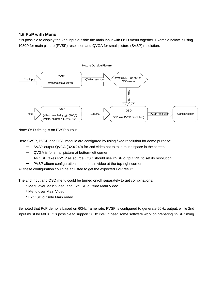## <span id="page-12-0"></span>**4.6 PoP with Menu**

It is possible to display the 2nd input outside the main input with OSD menu together. Example below is using 1080P for main picture (PVSP) resolution and QVGA for small picture (SVSP) resolution.



Note: OSD timing is on PVSP output

Here SVSP, PVSP and OSD module are configured by using fixed resolution for demo purpose:

- SVSP output QVGA (320x240) for 2nd video not to take much space in the screen;
- QVGA is for small picture at bottom-left corner;
- As OSD takes PVSP as source, OSD should use PVSP output VIC to set its resolution;
- PVSP album configuration set the main video at the top-right corner

All these configuration could be adjusted to get the expected PoP result.

The 2nd input and OSD menu could be turned on/off separately to get combinations:

- \* Menu over Main Video, and ExtOSD outside Main Video
- \* Menu over Main Video
- \* ExtOSD outside Main Video

Be noted that PoP demo is based on 60Hz frame rate. PVSP is configured to generate 60Hz output, while 2nd input must be 60Hz. It is possible to support 50Hz PoP, it need some software work on preparing SVSP timing.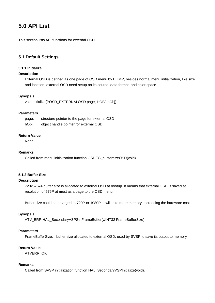# <span id="page-13-0"></span>**5.0 API List**

This section lists API functions for external OSD.

## <span id="page-13-1"></span>**5.1 Default Settings**

## <span id="page-13-2"></span>**5.1.1 Initialize**

## **Description**

External OSD is defined as one page of OSD menu by BLIMP, besides normal menu initialization, like size and location, external OSD need setup on its source, data format, and color space.

#### **Synopsis**

void Initialize(POSD\_EXTERNALOSD page, HOBJ hObj)

## **Parameters**

| page: | structure pointer to the page for external OSD |
|-------|------------------------------------------------|
| hObj: | object handle pointer for external OSD         |

## **Return Value**

None

## **Remarks**

Called from menu initialization function OSDEG\_customizeOSD(void)

## <span id="page-13-3"></span>**5.1.2 Buffer Size**

## **Description**

720x576x4 buffer size is allocated to external OSD at bootup. It means that external OSD is saved at resolution of 576P at most as a page to the OSD menu.

Buffer size could be enlarged to 720P or 1080P, it will take more memory, increasing the hardware cost.

## **Synopsis**

ATV\_ERR HAL\_SecondaryVSPSetFrameBuffer(UINT32 FrameBufferSize)

## **Parameters**

FrameBufferSize: buffer size allocated to external OSD, used by SVSP to save its output to memory

## **Return Value**

ATVERR\_OK

#### **Remarks**

Called from SVSP initialization function HAL\_SecondaryVSPInitialize(void).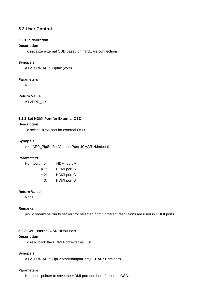## <span id="page-14-0"></span>**5.2 User Control**

## <span id="page-14-1"></span>**5.2.1 Initialization**

## **Description**

To initialize external OSD based on hardware connections.

## **Synopsis**

ATV\_ERR APP\_PipInit (void)

## **Parameters**

None

## **Return Value**

ATVERR\_OK

## <span id="page-14-2"></span>**5.2.2 Set HDMI Port for External OSD**

## **Description**

To select HDMI port for external OSD

## **Synopsis**

void APP\_PipSet2ndVidInputPort(UCHAR Hdmiport)

## **Parameters**

| $Hdmiport = 0$ : | <b>HDMI</b> port A |
|------------------|--------------------|
| $= 1:$           | <b>HDMI</b> port B |
| $= 2$ :          | HDMI port C        |
| $= 3:$           | HDMI port D        |

## **Return Value**

None

## **Remarks**

pipvic should be run to set VIC for selected port if different resolutions are used in HDMI ports.

## <span id="page-14-3"></span>**5.2.3 Get External OSD HDMI Port**

## **Description**

To read back the HDMI Port external OSD.

## **Synopsis**

ATV\_ERR APP\_PipGet2ndVidInputPort(UCHAR\* Hdmiport)

## **Parameters**

Hdmiport: pointer to save the HDMI port number of external OSD.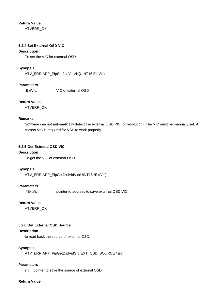## **Return Value**

ATVERR\_OK

## <span id="page-15-0"></span>**5.2.4 Set External OSD VIC**

## **Description**

To set the VIC for external OSD

## **Synopsis**

ATV\_ERR APP\_PipSet2ndVidVic(UINT16 ExtVic)

## **Parameters**

ExtVic: VIC of external OSD

## **Return Value**

ATVERR\_OK

## **Remarks**

Software can not automatically detect the external OSD VIC (or resolution). The VIC must be manually set. A correct VIC is required for VSP to work properly.

#### <span id="page-15-1"></span>**5.2.5 Get Extneral OSD VIC**

## **Description**

To get the VIC of external OSD

## **Synopsis**

ATV\_ERR APP\_PipGet2ndVidVic(UINT16 \*ExtVic)

## **Parameters**

\*ExtVic: pointer to address to save external OSD VIC

## **Return Value**

ATVERR\_OK

## <span id="page-15-2"></span>**5.2.6 Get External OSD Source**

## **Description**

to read back the source of external OSD.

## **Synopsis**

ATV\_ERR APP\_PipGet2ndVidSrc(EXT\_OSD\_SOURCE \*src)

#### **Parameters**

src: pointer to save the source of external OSD.

## **Return Value**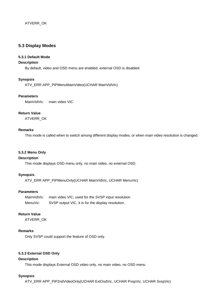## <span id="page-16-0"></span>**5.3 Display Modes**

## <span id="page-16-1"></span>**5.3.1 Default Mode**

## **Description**

By default, video and OSD menu are enabled, external OSD is disabled.

## **Synopsis**

ATV\_ERR APP\_PiPMenuMainVideo(UCHAR MainVidVic)

#### **Parameters**

MainVidVic: main video VIC

## **Return Value**

ATVERR\_OK

## **Remarks**

This mode is called when to switch among different display modes, or when main video resolution is changed.

## <span id="page-16-2"></span>**5.3.2 Menu Only**

## **Description**

This mode displays OSD menu only, no main video, no external OSD.

## **Synopsis**

ATV\_ERR APP\_PiPMenuOnly(UCHAR MainVidVic, UCHAR MenuVic)

## **Parameters**

| MainVidVic: | main video VIC, used for the SVSP input resolution |
|-------------|----------------------------------------------------|
| MenuVic:    | SVSP output VIC, it is for the display resolution. |

## **Return Value**

ATVERR\_OK

## **Remarks**

Only SVSP could support the feature of OSD only.

## <span id="page-16-3"></span>**5.3.3 External OSD Only**

## **Description**

This mode displays External OSD video only, no main video, no OSD menu

## **Synopsis**

ATV\_ERR APP\_PiP2ndVideoOnly(UCHAR ExtOsdVic, UCHAR PvspVic, UCHAR SvspVic)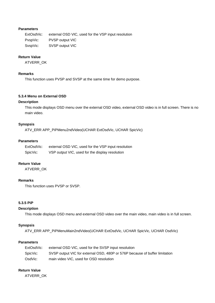#### **Parameters**

ExtOsdVic: external OSD VIC, used for the VSP input resolution PvspVic: PVSP output VIC SvspVic: SVSP output VIC

## **Return Value**

ATVERR\_OK

#### **Remarks**

This function uses PVSP and SVSP at the same time for demo purpose.

#### <span id="page-17-0"></span>**5.3.4 Menu on External OSD**

## **Description**

This mode displays OSD menu over the external OSD video, external OSD video is in full screen. There is no main video.

## **Synopsis**

ATV\_ERR APP\_PiPMenu2ndVideo(UCHAR ExtOsdVic, UCHAR SpicVic)

#### **Parameters**

| ExtOsdVic: | external OSD VIC, used for the VSP input resolution |
|------------|-----------------------------------------------------|
| SpicVic:   | VSP output VIC, used for the display resolution     |

#### **Return Value**

ATVERR\_OK

## **Remarks**

This function uses PVSP or SVSP.

## <span id="page-17-1"></span>**5.3.5 PiP**

#### **Description**

This mode displays OSD menu and external OSD video over the main video, main video is in full screen.

#### **Synopsis**

ATV\_ERR APP\_PiPMenuMain2ndVideo(UCHAR ExtOsdVic, UCHAR SpicVic, UCHAR OsdVic)

## **Parameters**

| ExtOsdVic: | external OSD VIC, used for the SVSP input resolution                        |
|------------|-----------------------------------------------------------------------------|
| SpicVic:   | SVSP output VIC for external OSD, 480P or 576P because of buffer limitation |
| OsdVic:    | main video VIC, used for OSD resolution                                     |

## **Return Value**

ATVERR\_OK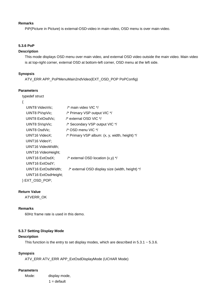#### **Remarks**

PiP(Picture in Picture) is external-OSD-video in main-video, OSD menu is over main-video.

## <span id="page-18-0"></span>**5.3.6 PoP**

## **Description**

This mode displays OSD menu over main video, and external OSD video outside the main video. Main video is at top-right corner, external OSD at bottom-left corner, OSD menu at the left side.

## **Synopsis**

ATV\_ERR APP\_PoPMenuMain2ndVideo(EXT\_OSD\_POP PoPConfig)

## **Parameters**

typedef struct

{

| UINT8 VideoVic;       | $\prime$ * main video VIC */                    |
|-----------------------|-------------------------------------------------|
| UINT8 PVspVic;        | /* Primary VSP output VIC */                    |
| UINT8 ExtOsdVic;      | $\prime^*$ external OSD VIC $^*/$               |
| <b>UINT8 SVspVic;</b> | /* Secondary VSP output VIC */                  |
| UINT8 OsdVic;         | /* OSD menu VIC */                              |
| UINT16 VideoX;        | /* Primary VSP album: (x, y, width, height) */  |
| UINT16 VideoY;        |                                                 |
| UINT16 VideoWidth;    |                                                 |
| UINT16 VideoHeight;   |                                                 |
| UINT16 ExtOsdX;       | /* external OSD location $(x,y)$ */             |
| UINT16 ExtOsdY;       |                                                 |
| UINT16 ExtOsdWidth;   | /* external OSD display size (width, height) */ |
| UINT16 ExtOsdHeight;  |                                                 |
| EXT OSD POP:          |                                                 |
|                       |                                                 |

## **Return Value**

ATVERR\_OK

## **Remarks**

60Hz frame rate is used in this demo.

## <span id="page-18-1"></span>**5.3.7 Setting Display Mode**

## **Description**

This function is the entry to set display modes, which are described in  $5.3.1 \sim 5.3.6$ .

#### **Synopsis**

ATV\_ERR ATV\_ERR APP\_ExtOsdDisplayMode (UCHAR Mode)

## **Parameters**

| Mode: | display mode, |
|-------|---------------|
|       | $1 =$ default |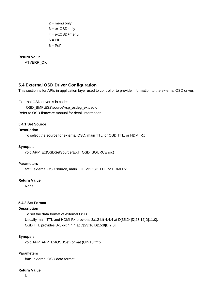$2 =$  menu only 3 = extOSD only 4 = extOSD+menu  $5 = \text{Pi}P$  $6 = PoP$ 

## **Return Value**

ATVERR\_OK

## <span id="page-19-0"></span>**5.4 External OSD Driver Configuration**

This section is for APIs in application layer used to control or to provide information to the external OSD driver.

External OSD driver is in code:

OSD\_BMP\ES2\source\vsp\_osdeg\_extosd.c Refer to OSD firmware manual for detail information.

## <span id="page-19-1"></span>**5.4.1 Set Source**

## **Description**

To select the source for external OSD, main TTL, or OSD TTL, or HDMI Rx

#### **Synopsis**

void APP\_ExtOSDSetSource(EXT\_OSD\_SOURCE src)

#### **Parameters**

src: external OSD source, main TTL, or OSD TTL, or HDMI Rx

## **Return Value**

None

## <span id="page-19-2"></span>**5.4.2 Set Format**

## **Description**

To set the data format of external OSD. Usually main TTL and HDMI Rx provides 3x12-bit 4:4:4 at D[35:24]D[23:12]D[11:0], OSD TTL provides 3x8-bit 4:4:4 at D[23:16]D[15:8]D[7:0],

## **Synopsis**

void APP\_APP\_ExtOSDSetFormat (UINT8 fmt)

## **Parameters**

fmt: external OSD data format

#### **Return Value**

None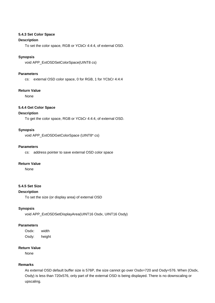## <span id="page-20-0"></span>**5.4.3 Set Color Space**

## **Description**

To set the color space, RGB or YCbCr 4:4:4, of external OSD.

## **Synopsis**

void APP\_ExtOSDSetColorSpace(UINT8 cs)

#### **Parameters**

cs: external OSD color space, 0 for RGB, 1 for YCbCr 4:4:4

## **Return Value**

None

## <span id="page-20-1"></span>**5.4.4 Get Color Space**

#### **Description**

To get the color space, RGB or YCbCr 4:4:4, of external OSD.

#### **Synopsis**

void APP\_ExtOSDGetColorSpace (UINT8\* cs)

#### **Parameters**

cs: address pointer to save external OSD color space

## **Return Value**

None

## <span id="page-20-2"></span>**5.4.5 Set Size**

## **Description**

To set the size (or display area) of external OSD

#### **Synopsis**

void APP\_ExtOSDSetDisplayArea(UINT16 Osdx, UINT16 Osdy)

#### **Parameters**

Osdx: width Osdy: height

## **Return Value**

None

#### **Remarks**

As external OSD default buffer size is 576P, the size cannot go over Osdx=720 and Osdy=576. When (Osdx, Osdy) is less than 720x576, only part of the external OSD is being displayed. There is no downscaling or upscaling.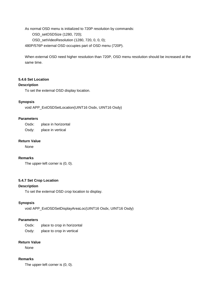As normal OSD menu is initialized to 720P resolution by commands:

OSD\_setOSDSize (1280, 720);

OSD\_setVideoResolution (1280, 720, 0, 0, 0);

480P/576P external OSD occupies part of OSD menu (720P).

When external OSD need higher resolution than 720P, OSD menu resolution should be increased at the same time.

## <span id="page-21-0"></span>**5.4.6 Set Location**

## **Description**

To set the external OSD display location.

## **Synopsis**

void APP\_ExtOSDSetLocation(UINT16 Osdx, UINT16 Osdy)

## **Parameters**

Osdx: place in horizontal Osdy: place in vertical

#### **Return Value**

None

## **Remarks**

The upper-left corner is (0, 0).

## <span id="page-21-1"></span>**5.4.7 Set Crop Location**

## **Description**

To set the external OSD crop location to display.

## **Synopsis**

void APP\_ExtOSDSetDisplayAreaLoc(UINT16 Osdx, UINT16 Osdy)

## **Parameters**

Osdx: place to crop in horizontal Osdy: place to crop in vertical

## **Return Value**

None

## **Remarks**

The upper-left corner is (0, 0).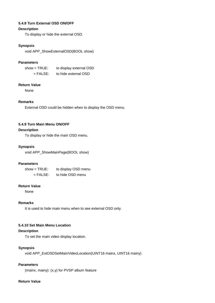## <span id="page-22-0"></span>**5.4.8 Turn External OSD ON/OFF**

## **Description**

To display or hide the external OSD.

## **Synopsis**

void APP\_ShowExternalOSD(BOOL show)

## **Parameters**

| show = TRUE: | to display external OSD |  |  |  |  |
|--------------|-------------------------|--|--|--|--|
| $=$ FALSE:   | to hide external OSD    |  |  |  |  |

## **Return Value**

None

## **Remarks**

External OSD could be hidden when to display the OSD menu.

## <span id="page-22-1"></span>**5.4.9 Turn Main Menu ON/OFF**

## **Description**

To display or hide the main OSD menu.

#### **Synopsis**

void APP\_ShowMainPage(BOOL show)

## **Parameters**

show = TRUE: to display OSD menu = FALSE: to hide OSD menu

## **Return Value**

None

## **Remarks**

It is used to hide main menu when to see external OSD only.

#### <span id="page-22-2"></span>**5.4.10 Set Main Menu Location**

## **Description**

To set the main video display location.

#### **Synopsis**

void APP\_ExtOSDSetMainVideoLocation(UINT16 mainx, UINT16 mainy)

## **Parameters**

(mainx, mainy): (x,y) for PVSP album feature

## **Return Value**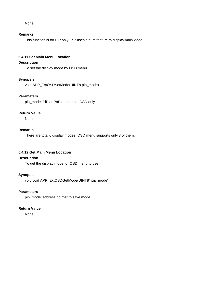#### None

#### **Remarks**

This function is for PiP only. PiP uses album feature to display main video.

## <span id="page-23-0"></span>**5.4.11 Set Main Menu Location**

## **Description**

To set the display mode by OSD menu

## **Synopsis**

void APP\_ExtOSDSetMode(UINT8 pip\_mode)

#### **Parameters**

pip\_mode: PiP or PoP or external OSD only

## **Return Value**

None

## **Remarks**

There are total 6 display modes, OSD menu supports only 3 of them.

## <span id="page-23-1"></span>**5.4.12 Get Main Menu Location**

## **Description**

To get the display mode for OSD menu to use

## **Synopsis**

void void APP\_ExtOSDGetMode(UINT8\* pip\_mode)

## **Parameters**

pip\_mode: address pointer to save mode

## **Return Value**

None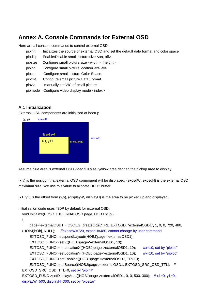# <span id="page-24-0"></span>**Annex A. Console Commands for External OSD**

Here are all console commands to control external OSD.

- pipinit Initializes the source of external OSD and set the default data format and color space
- pipdisp Enable/Disable small picture size <on, off>
- pipsize Configure small picture size <width> <height>
- piploc Configure small picture location <x> <y>
- pipcs Configure small picture Color Space
- pipfmt Configure small picture Data Format
- pipvic manually set VIC of small picture
- pipmode Configure video display mode <index>

## <span id="page-24-1"></span>**A.1 Initialization**

External OSD components are initialized at bootup.



Assume blue area is external OSD video full size, yellow area defined the pickup area to display.

(x,y) is the position that external OSD component will be displayed. (exosdW, exosdH) is the external OSD maximum size. We use this value to allocate DDR2 buffer.

(x1, y1) is the offset from (x,y), (displayW, displayH) is the area to be picked up and displayed.

Initialization code uses 480P by default for external OSD:

void Initialize(POSD\_EXTERNALOSD page, HOBJ hObj)

```
{
```
 page->externalOSD1 = OSDEG\_createObj(CTRL\_EXTOSD, "externalOSD1", 1, 0, 0, 720, 480, (HOBJ)hObj, NULL); //exosdW=720, exosdH=480, cannot change by user command EXTOSD\_FUNC->suspendLayout((HOBJ)page->externalOSD1);

EXTOSD\_FUNC->setZ((HOBJ)page->externalOSD1, 10);

EXTOSD\_FUNC->setLocationX((HOBJ)page->externalOSD1, 10); //x=10, set by "piploc" EXTOSD\_FUNC->setLocationY((HOBJ)page->externalOSD1, 10); //y=10, set by "piploc" EXTOSD\_FUNC->setEnabled((HOBJ)page->externalOSD1, TRUE);

EXTOSD\_FUNC->setSource((HOBJ)page->externalOSD1, EXTOSD\_SRC\_OSD\_TTL); // EXTOSD\_SRC\_OSD\_TTL=0, set by "pipinit"

EXTOSD\_FUNC->setDisplayArea((HOBJ)page->externalOSD1, 0, 0, 500, 300); // x1=0, y1=0, displayW=500, displayH=300; set by "pipsize"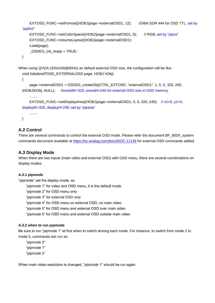```
EXTOSD_FUNC->setFormat((HOBJ)page->externalOSD1, 12); //24bit SDR 444 for OSD TTL, set by 
  "pipfmt" 
      EXTOSD_FUNC->setColorSpace((HOBJ)page->externalOSD1, 0); // RGB, set by "pipcs"
       EXTOSD_FUNC->resumeLayout((HOBJ)page->externalOSD1);
       Load(page);
       _OSDEG_init_ready = TRUE;
 }
When using QVGA (320x240@60Hz) as default external OSD size, the configuration will be like:
  void Initialize(POSD_EXTERNALOSD page, HOBJ hObj)
```

```
{
     page->externalOSD1 = OSDEG_createObj(CTRL_EXTOSD, "externalOSD1", 1, 0, 0, 320, 240, 
(HOBJ)hObj, NULL); //exosdW=320, exosdH=240 for external OSD size in OSD memory
     ........
    EXTOSD_FUNC->setDisplayArea((HOBJ)page->externalOSD1, 0, 0, 320, 240); \frac{1}{x} x1=0, y1=0,
displayW=320, displayH=240; set by "pipsize"
     ........
```

```
}
```
## <span id="page-25-0"></span>**A.2 Control**

There are several commands to control the external OSD mode. Please refer the document BF\_800X\_system commands document available at<https://ez.analog.com/docs/DOC-11128> for external OSD commands added.

## <span id="page-25-1"></span>**A.3 Display Mode**

When there are two inputs (main video and external OSD) with OSD menu, there are several combinations on display modes.

## <span id="page-25-2"></span>**A.3.1 pipmode**

"pipmode" set the display mode, as

"pipmode 1" for video and OSD menu, it is the default mode

"pipmode 2" for OSD menu only

"pipmode 3" for external OSD only

"pipmode 4" for OSD menu on external OSD, no main video

"pipmode 5" for OSD menu and external OSD over main video

"pipmode 6" for OSD menu and external OSD outside main video

#### <span id="page-25-3"></span>**A.3.2 when to run pipmode**

Be sure to run "pipmode 1" at first when to switch among each mode. For instance, to switch from mode 2 to mode 5, commands are run as:

"pipmode 2"

"pipmode 1"

"pipmode 5"

When main video resolution is changed, "pipmode 1" should be run again.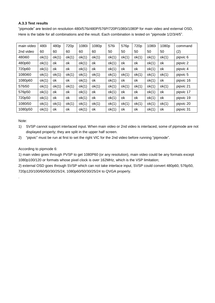## <span id="page-26-0"></span>**A.3.3 Test results**

"pipmode" are tested on resolution 480i/576i/480P/576P/720P/1080i/1080P for main video and external OSD, Here is the table for all combinations and the result. Each combination is tested on "pipmode 1/2/3/4/5".

| main video | 480i  | 480 <sub>p</sub> | 720p  | 1080i | 1080p | 576i  | 576p  | 720 <sub>p</sub> | 1080i | 1080p | command   |
|------------|-------|------------------|-------|-------|-------|-------|-------|------------------|-------|-------|-----------|
| 2nd video  | 60    | 60               | 60    | 60    | 60    | 50    | 50    | 50               | 50    | 50    | (2)       |
| 480i60     | ok(1) | ok(1)            | ok(1) | ok(1) | ok(1) | ok(1) | ok(1) | ok(1)            | ok(1) | ok(1) | pipvic 6  |
| 480p60     | ok(1) | ok               | ok    | ok(1) | ok    | ok(1) | ok    | оk               | ok(1) | оk    | pipvic 2  |
| 720p60     | ok(1) | ok               | ok    | ok(1) | ok    | ok(1) | ok    | оk               | ok(1) | оk    | pipvic 4  |
| 1080i60    | ok(1) | ok(1)            | ok(1) | ok(1) | ok(1) | ok(1) | ok(1) | ok(1)            | ok(1) | ok(1) | pipvic 5  |
| 1080p60    | ok(1) | ok               | ok    | ok(1) | ok    | ok(1) | ok    | оk               | ok(1) | оk    | pipvic 16 |
| 576i50     | ok(1) | ok(1)            | ok(1) | ok(1) | ok(1) | ok(1) | ok(1) | ok(1)            | ok(1) | ok(1) | pipvic 21 |
| 576p50     | ok(1) | ok               | ok    | ok(1) | ok    | ok(1) | ok    | оk               | ok(1) | оk    | pipvic 17 |
| 720p50     | ok(1) | ok               | ok    | ok(1) | ok    | ok(1) | ok    | ok               | ok(1) | оk    | pipvic 19 |
| 1080i50    | ok(1) | ok(1)            | ok(1) | ok(1) | ok(1) | ok(1) | ok(1) | ok(1)            | ok(1) | ok(1) | pipvic 20 |
| 1080p50    | ok(1) | ok               | ok    | ok(1) | ok    | ok(1) | ok    | ok               | ok(1) | оk    | pipvic 31 |

Note:

.

- 1) SVSP cannot support interlaced input. When main video or 2nd video is interlaced, some of pipmode are not displayed properly; they are split in the upper half screen.
- 2) "pipvic" must be run at first to set the right VIC for the 2nd video before running "pipmode".

## According to pipmode 6:

1) main video goes through PVSP to get 1080P60 (or any resolution), main video could be any formats except 1080p100/120 or formats whose pixel clock is over 162MHz, which is the VSP limitation;

2) external OSD goes through SVSP which can not take interlace input, SVSP could convert 480p60, 576p50, 720p120/100/60/50/30/25/24, 1080p60/50/30/25/24 to QVGA properly.